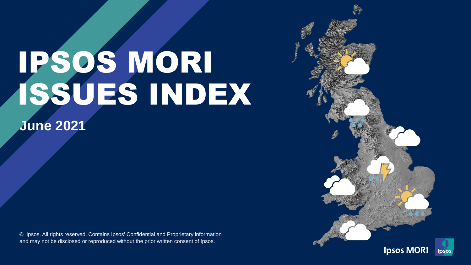# IPSOS MORI ISSUES INDEX

**June 2021**

© Ipsos. All rights reserved. Contains Ipsos' Confidential and Proprietary information and may not be disclosed or reproduced without the prior written consent of Ipsos.



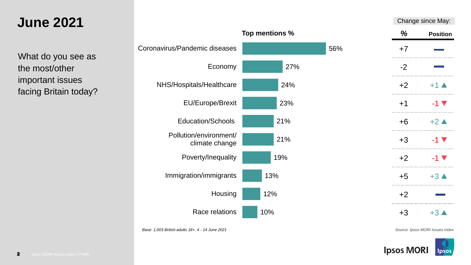#### **June 2021**

What do you see as the most/other important issues facing Britain today?



*Base: 1,003 British adults 18+, 4 - 14 June 2021*

*Source: Ipsos MORI Issues Index*

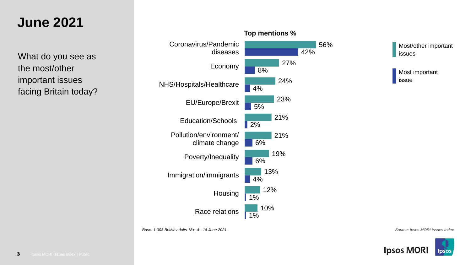#### **June 2021**

What do you see as the most/other important issues facing Britain today?



Most/other important issues

Most important issue

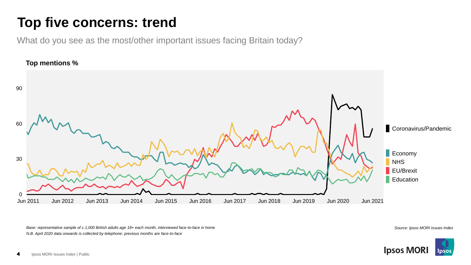# **Top five concerns: trend**

What do you see as the most/other important issues facing Britain today?



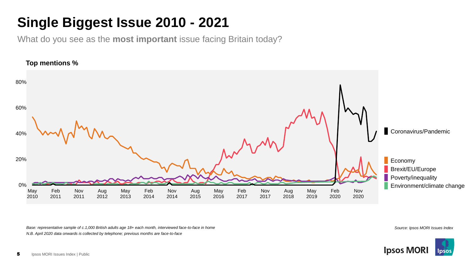# **Single Biggest Issue 2010 - 2021**

What do you see as the **most important** issue facing Britain today?



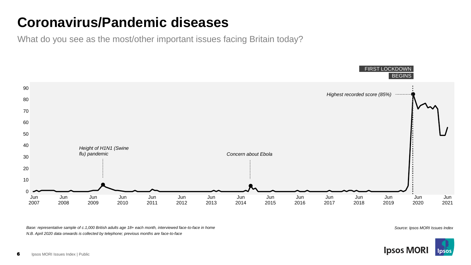#### **Coronavirus/Pandemic diseases**

What do you see as the most/other important issues facing Britain today?



*Base: representative sample of c.1,000 British adults age 18+ each month, interviewed face-to-face in home N.B. April 2020 data onwards is collected by telephone; previous months are face-to-face*

*Source: Ipsos MORI Issues Index*

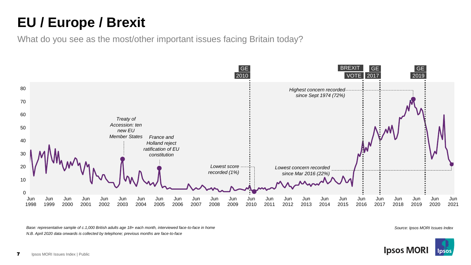# **EU / Europe / Brexit**

What do you see as the most/other important issues facing Britain today?



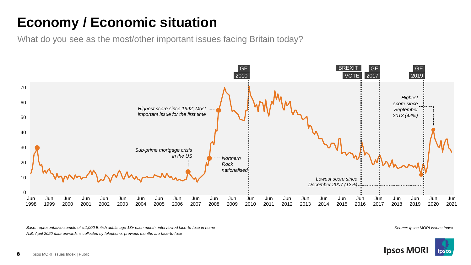## **Economy / Economic situation**

What do you see as the most/other important issues facing Britain today?



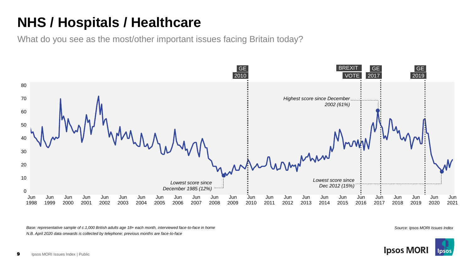## **NHS / Hospitals / Healthcare**

What do you see as the most/other important issues facing Britain today?



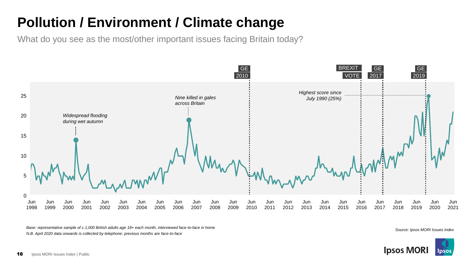# **Pollution / Environment / Climate change**

What do you see as the most/other important issues facing Britain today?



*N.B. April 2020 data onwards is collected by telephone; previous months are face-to-face Base: representative sample of c.1,000 British adults age 18+ each month, interviewed face-to-face in home Source: Ipsos MORI Issues Index*

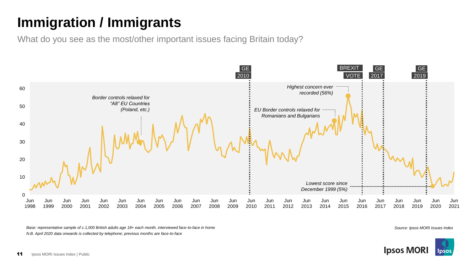# **Immigration / Immigrants**

What do you see as the most/other important issues facing Britain today?



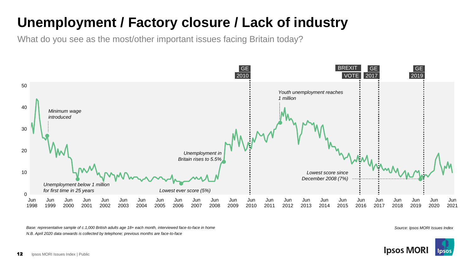## **Unemployment / Factory closure / Lack of industry**

What do you see as the most/other important issues facing Britain today?



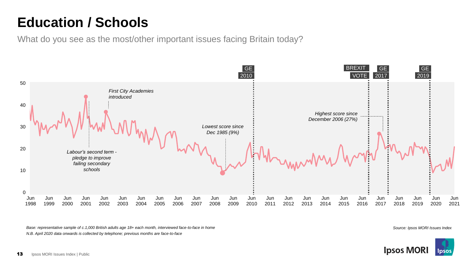#### **Education / Schools**

What do you see as the most/other important issues facing Britain today?



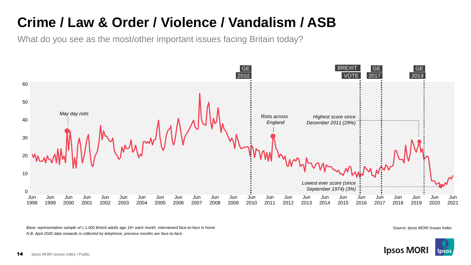### **Crime / Law & Order / Violence / Vandalism / ASB**

What do you see as the most/other important issues facing Britain today?



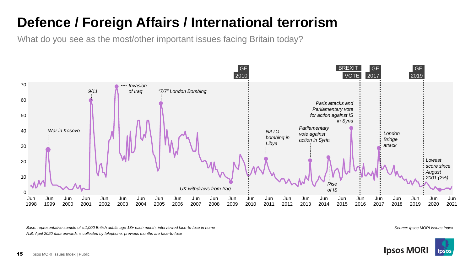# **Defence / Foreign Affairs / International terrorism**

What do you see as the most/other important issues facing Britain today?



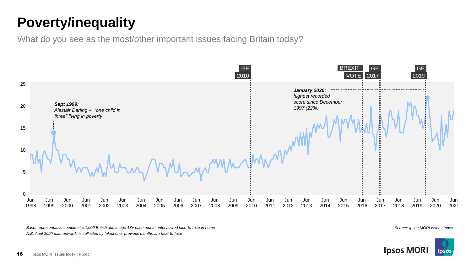## **Poverty/inequality**

What do you see as the most/other important issues facing Britain today?



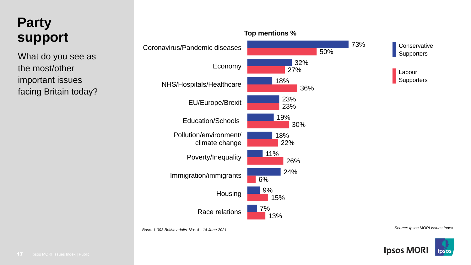#### **Party support**

What do you see as the most/other important issues facing Britain today?



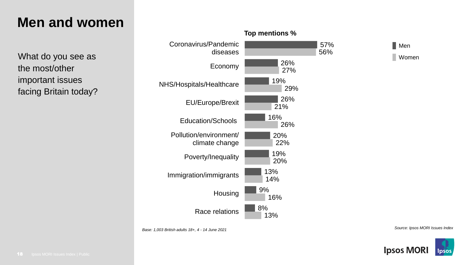#### **Men and women**

What do you see as the most/other important issues facing Britain today?



*Source: Ipsos MORI Issues Index Base: 1,003 British adults 18+, 4 - 14 June 2021*



**Men** 

Women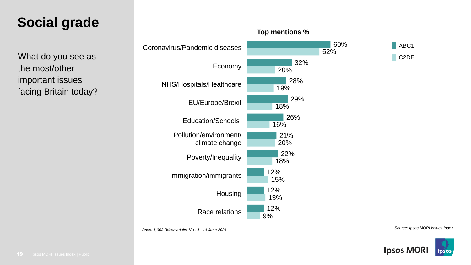#### **Social grade**

What do you see as the most/other important issues facing Britain today?



*Source: Ipsos MORI Issues Index Base: 1,003 British adults 18+, 4 - 14 June 2021*

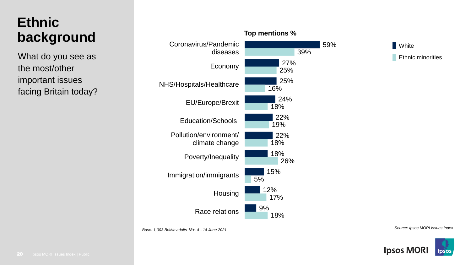## **Ethnic background**

What do you see as the most/other important issues facing Britain today?



**White** Ethnic minorities

*Source: Ipsos MORI Issues Index Base: 1,003 British adults 18+, 4 - 14 June 2021*

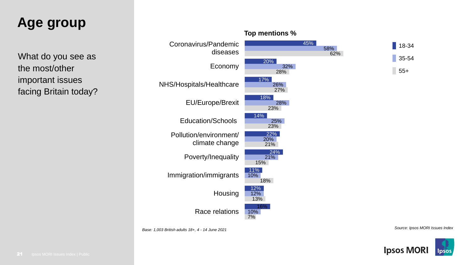#### **Age group**

What do you see as the most/other important issues facing Britain today?



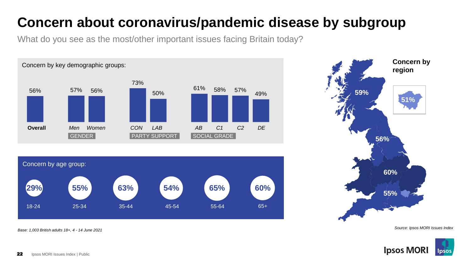## **Concern about coronavirus/pandemic disease by subgroup**

What do you see as the most/other important issues facing Britain today?



*Base: 1,003 British adults 18+, 4 - 14 June 2021*



*Source: Ipsos MORI Issues Index*

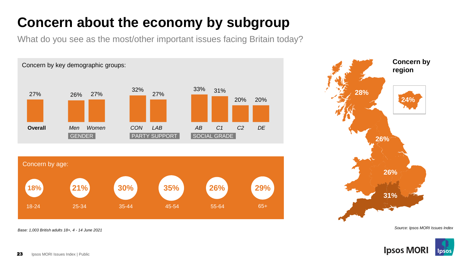# **Concern about the economy by subgroup**

What do you see as the most/other important issues facing Britain today?





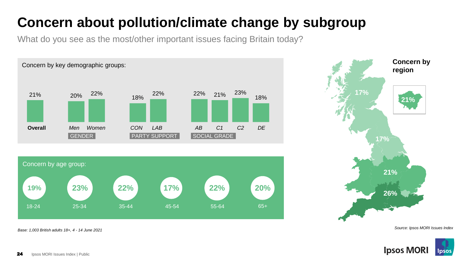## **Concern about pollution/climate change by subgroup**

What do you see as the most/other important issues facing Britain today?





*Source: Ipsos MORI Issues Index*



24 Ipsos MORI Issues Index | Public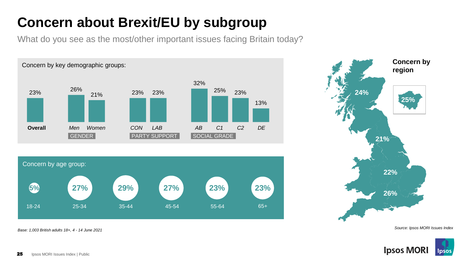# **Concern about Brexit/EU by subgroup**

What do you see as the most/other important issues facing Britain today?



*Base: 1,003 British adults 18+, 4 - 14 June 2021*



*Source: Ipsos MORI Issues Index*

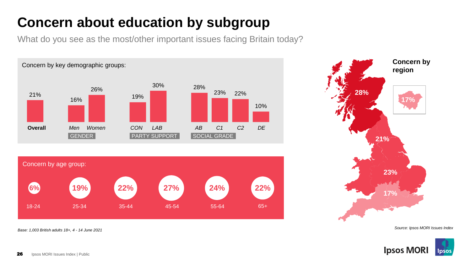# **Concern about education by subgroup**

What do you see as the most/other important issues facing Britain today?



*Base: 1,003 British adults 18+, 4 - 14 June 2021*



*Source: Ipsos MORI Issues Index*